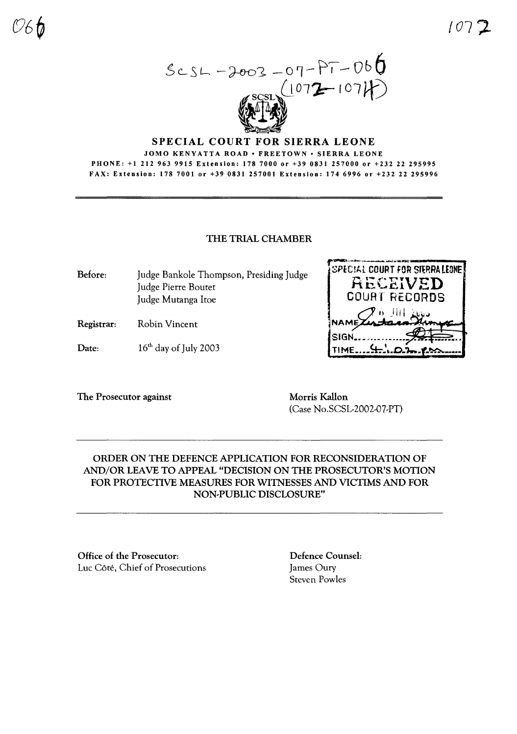$SCSL - 2003 - 07 - PT - 066$ 

#### SPECIAL COURT FOR SIERRA LEONE JOMO KENYATTA ROAD . FREETOWN . SIERRA LEONE PHONE: +1 212 963 9915 Extension: 178 7000 or +39 0831 257000 or +232 22 295995 FAX: Extension: 178 7001 or +39 0831 257001 Extension: 174 6996 or +232 22 295996

## THE TRIAL CHAMBER

Before: Judge Bankole Thompson, Presiding Judge Judge Pierre Boutet Judge Mutanga Itoe

**Robin Vincent** Registrar:

16<sup>th</sup> day of July 2003 Date:

The Prosecutor against

Morris Kallon (Case No.SCSL-2002-07-PT)

NAMI SIGN..

TIME.........

SPECIAL COURT FOR SIERRA LEONE

RECEIVED

**COURT RECORDS** 

# ORDER ON THE DEFENCE APPLICATION FOR RECONSIDERATION OF AND/OR LEAVE TO APPEAL "DECISION ON THE PROSECUTOR'S MOTION FOR PROTECTIVE MEASURES FOR WITNESSES AND VICTIMS AND FOR NON-PUBLIC DISCLOSURE"

Office of the Prosecutor: Luc Côté, Chief of Prosecutions **Defence Counsel:** James Oury **Steven Powles**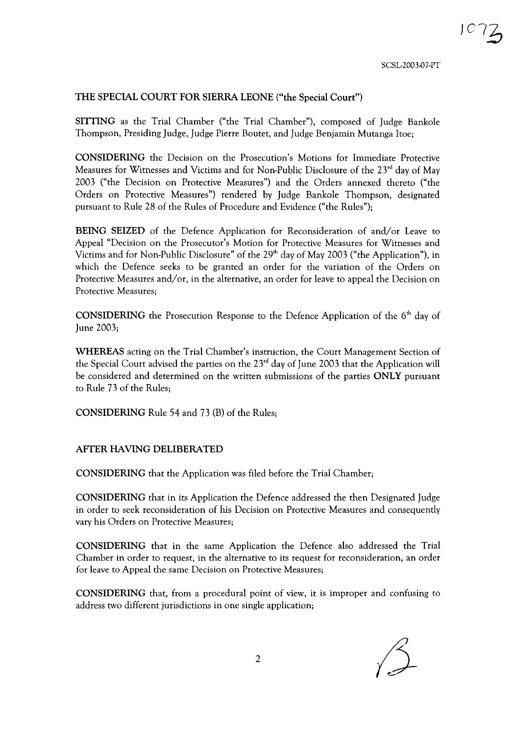### THE SPECIAL COURT FOR SIERRA LEONE ("the Special Court")

SITTING as the Trial Chamber ("the Trial Chamber"), composed of Judge Bankole Thompson, Presiding Judge, Judge Pierre Bouret, and Judge Benjamin Mutanga !toe;

CONSIDERING the Decision on the Prosecution's Motions for Immediate Protective Measures for Witnesses and Victims and for Non-Public Disclosure of the 23<sup>rd</sup> day of May 2003 ("the Decision on Protective Measures") and the Orders annexed thereto ("the Orders on Protective Measures") rendered by Judge Bankole Thompson, designated pursuant to Rule 28 of the Rules of Procedure and Evidence ("the Rules");

BEING SEIZED of the Defence Application for Reconsideration of and/or Leave to Appeal "Decision on the Prosecutor's Motion for Protective Measures for Witnesses and Victims and for Non-Public Disclosure" of the 29<sup>th</sup> day of May 2003 ("the Application"), in which the Defence seeks to be granted an order for the variation of the Orders on Protective Measures and/or, in the alternative, an order for leave to appeal the Decision on Protective Measures;

**CONSIDERING** the Prosecution Response to the Defence Application of the  $6<sup>th</sup>$  day of June 2003;

WHEREAS acting on the Trial Chamber's instruction, the Court Management Section of the Special Court advised the parties on the  $23<sup>rd</sup>$  day of June 2003 that the Application will be considered and determined on the written submissions of the parties ONLY pursuant to Rule 73 of the Rules;

CONSIDERING Rule 54 and 73 (B) of the Rules;

### AFTER HAVING DELIBERATED

CONSIDERING that the Application was filed before the Trial Chamber;

CONSIDERING that in its Application the Defence addressed the then Designated Judge in order to seek reconsideration of his Decision on Protective Measures and consequently vary his Orders on Protective Measures;

CONSIDERING that in the same Application the Defence also addressed the Trial Chamber in order to request, in the alternative to its request for reconsideration, an order for leave to Appeal the same Decision on Protective Measures;

CONSIDERING that, from a procedural point of view, it is improper and confusing to address two different jurisdictions in one single application;